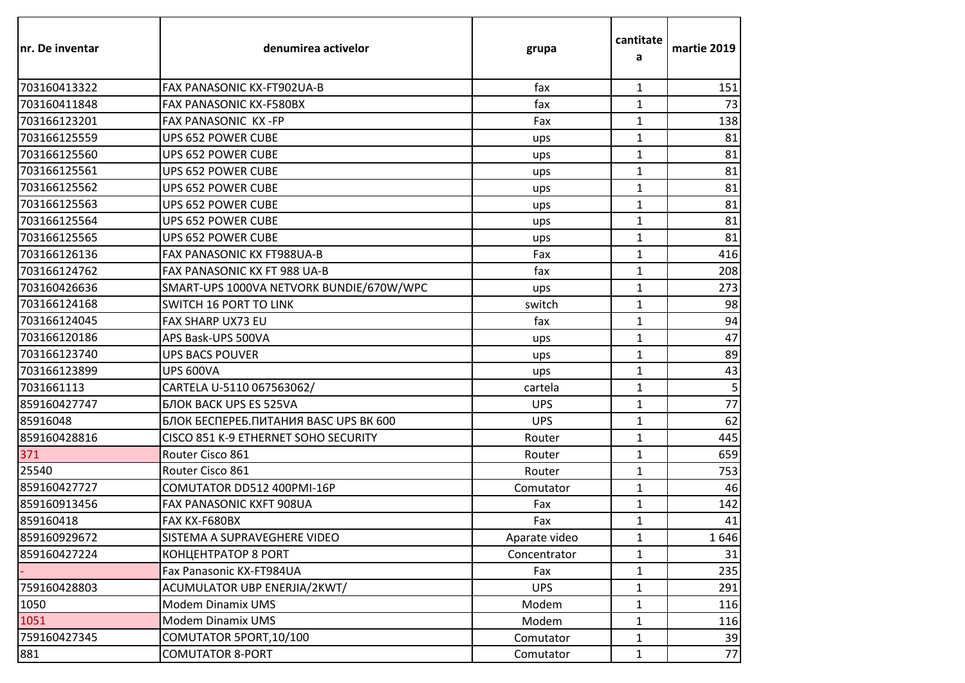| Inr. De inventar | denumirea activelor                           | grupa         | cantitate<br>a | martie 2019 |
|------------------|-----------------------------------------------|---------------|----------------|-------------|
| 703160413322     | FAX PANASONIC KX-FT902UA-B                    | fax           | $\mathbf{1}$   | 151         |
| 703160411848     | <b>FAX PANASONIC KX-F580BX</b>                | fax           | $\mathbf{1}$   | 73          |
| 703166123201     | FAX PANASONIC KX-FP                           | Fax           | $\mathbf{1}$   | 138         |
| 703166125559     | <b>UPS 652 POWER CUBE</b>                     | ups           | $\mathbf{1}$   | 81          |
| 703166125560     | <b>UPS 652 POWER CUBE</b>                     | ups           | $\mathbf{1}$   | 81          |
| 703166125561     | UPS 652 POWER CUBE                            | ups           | $\mathbf{1}$   | 81          |
| 703166125562     | <b>UPS 652 POWER CUBE</b>                     | ups           | $\mathbf{1}$   | 81          |
| 703166125563     | UPS 652 POWER CUBE                            | ups           | $\mathbf{1}$   | 81          |
| 703166125564     | UPS 652 POWER CUBE                            | ups           | $\mathbf{1}$   | 81          |
| 703166125565     | <b>UPS 652 POWER CUBE</b>                     | ups           | $\mathbf{1}$   | 81          |
| 703166126136     | FAX PANASONIC KX FT988UA-B                    | Fax           | $\mathbf{1}$   | 416         |
| 703166124762     | FAX PANASONIC KX FT 988 UA-B                  | fax           | $\mathbf{1}$   | 208         |
| 703160426636     | SMART-UPS 1000VA NETVORK BUNDIE/670W/WPC      | ups           | $\mathbf{1}$   | 273         |
| 703166124168     | <b>SWITCH 16 PORT TO LINK</b>                 | switch        | $\mathbf{1}$   | 98          |
| 703166124045     | <b>FAX SHARP UX73 EU</b>                      | fax           | $\mathbf{1}$   | 94          |
| 703166120186     | APS Bask-UPS 500VA                            | ups           | $\mathbf{1}$   | 47          |
| 703166123740     | <b>UPS BACS POUVER</b>                        | ups           | $\mathbf{1}$   | 89          |
| 703166123899     | <b>UPS 600VA</b>                              | ups           | $\mathbf{1}$   | 43          |
| 7031661113       | CARTELA U-5110 067563062/                     | cartela       | $\mathbf{1}$   | 5           |
| 859160427747     | <b>БЛОК BACK UPS ES 525VA</b>                 | <b>UPS</b>    | $\mathbf{1}$   | 77          |
| 85916048         | <b>БЛОК БЕСПЕРЕБ. ПИТАНИЯ BASC UPS BK 600</b> | <b>UPS</b>    | $\mathbf{1}$   | 62          |
| 859160428816     | CISCO 851 K-9 ETHERNET SOHO SECURITY          | Router        | $\mathbf{1}$   | 445         |
| 371              | Router Cisco 861                              | Router        | $\mathbf{1}$   | 659         |
| 25540            | Router Cisco 861                              | Router        | $\mathbf{1}$   | 753         |
| 859160427727     | COMUTATOR DD512 400PMI-16P                    | Comutator     | $\mathbf{1}$   | 46          |
| 859160913456     | FAX PANASONIC KXFT 908UA                      | Fax           | $\mathbf{1}$   | 142         |
| 859160418        | FAX KX-F680BX                                 | Fax           | $\mathbf{1}$   | 41          |
| 859160929672     | SISTEMA A SUPRAVEGHERE VIDEO                  | Aparate video | $\mathbf{1}$   | 1646        |
| 859160427224     | <b>КОНЦЕНТРАТОР 8 PORT</b>                    | Concentrator  | 1              | 31          |
|                  | Fax Panasonic KX-FT984UA                      | Fax           | $\mathbf{1}$   | 235         |
| 759160428803     | ACUMULATOR UBP ENERJIA/2KWT/                  | <b>UPS</b>    | $\mathbf{1}$   | 291         |
| 1050             | Modem Dinamix UMS                             | Modem         | $\mathbf{1}$   | 116         |
| 1051             | <b>Modem Dinamix UMS</b>                      | Modem         | $\mathbf{1}$   | 116         |
| 759160427345     | COMUTATOR 5PORT, 10/100                       | Comutator     | 1              | 39          |
| 881              | <b>COMUTATOR 8-PORT</b>                       | Comutator     | $\mathbf{1}$   | 77          |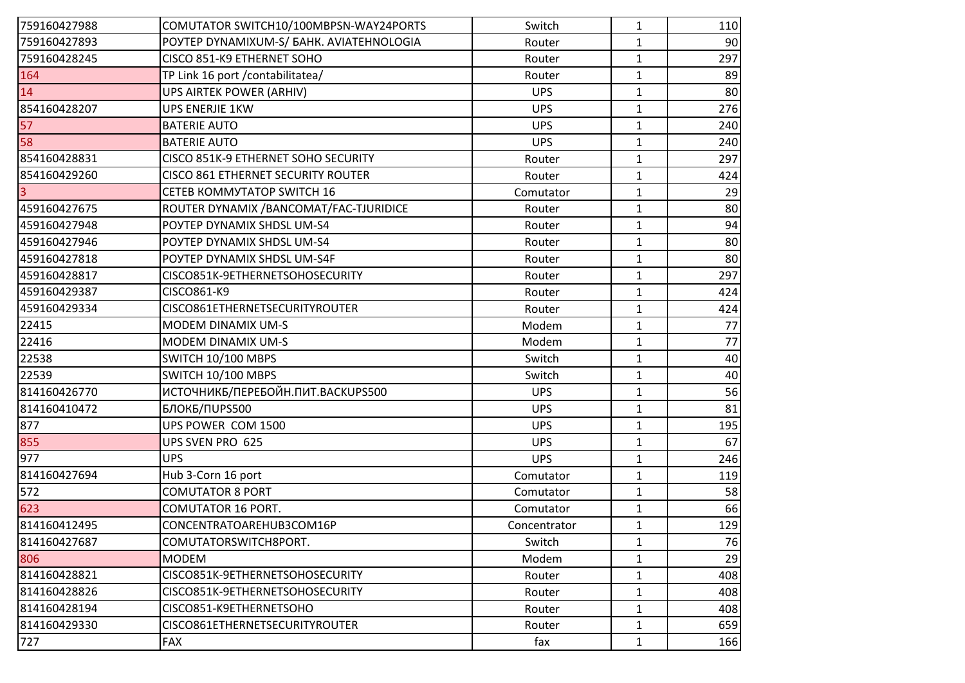| 759160427988     | COMUTATOR SWITCH10/100MBPSN-WAY24PORTS    | Switch       | 1            | 110 |
|------------------|-------------------------------------------|--------------|--------------|-----|
| 759160427893     | POYTEP DYNAMIXUM-S/ БАНК. AVIATEHNOLOGIA  | Router       | $\mathbf{1}$ | 90  |
| 759160428245     | CISCO 851-K9 ETHERNET SOHO                | Router       | $\mathbf{1}$ | 297 |
| 164              | TP Link 16 port / contabilitatea/         | Router       | 1            | 89  |
| 14               | UPS AIRTEK POWER (ARHIV)                  | <b>UPS</b>   | $\mathbf{1}$ | 80  |
| 854160428207     | UPS ENERJIE 1KW                           | <b>UPS</b>   | $\mathbf{1}$ | 276 |
| 57               | <b>BATERIE AUTO</b>                       | <b>UPS</b>   | $\mathbf{1}$ | 240 |
| 58               | <b>BATERIE AUTO</b>                       | <b>UPS</b>   | $\mathbf{1}$ | 240 |
| 854160428831     | CISCO 851K-9 ETHERNET SOHO SECURITY       | Router       | $\mathbf{1}$ | 297 |
| 854160429260     | <b>CISCO 861 ETHERNET SECURITY ROUTER</b> | Router       | $\mathbf{1}$ | 424 |
|                  | CETEB KOMMYTATOP SWITCH 16                | Comutator    | 1            | 29  |
| 459160427675     | ROUTER DYNAMIX / BANCOMAT/FAC-TJURIDICE   | Router       | $\mathbf{1}$ | 80  |
| 459160427948     | POYTEP DYNAMIX SHDSL UM-S4                | Router       | $\mathbf{1}$ | 94  |
| 459160427946     | POYTEP DYNAMIX SHDSL UM-S4                | Router       | $\mathbf{1}$ | 80  |
| 459160427818     | POYTEP DYNAMIX SHDSL UM-S4F               | Router       | $\mathbf{1}$ | 80  |
| 459160428817     | CISCO851K-9ETHERNETSOHOSECURITY           | Router       | $\mathbf{1}$ | 297 |
| 459160429387     | CISCO861-K9                               | Router       | 1            | 424 |
| 459160429334     | CISCO861ETHERNETSECURITYROUTER            | Router       | $\mathbf 1$  | 424 |
| 22415            | MODEM DINAMIX UM-S                        | Modem        | $\mathbf{1}$ | 77  |
| 22416            | MODEM DINAMIX UM-S                        | Modem        | $\mathbf{1}$ | 77  |
| 22538            | SWITCH 10/100 MBPS                        | Switch       | $\mathbf{1}$ | 40  |
| 22539            | SWITCH 10/100 MBPS                        | Switch       | $\mathbf{1}$ | 40  |
| 814160426770     | ИСТОЧНИКБ/ПЕРЕБОЙН.ПИТ. BACKUPS500        | <b>UPS</b>   | $\mathbf{1}$ | 56  |
| 814160410472     | <b>БЛОКБ/ПUPS500</b>                      | <b>UPS</b>   | $\mathbf{1}$ | 81  |
| 877              | UPS POWER COM 1500                        | <b>UPS</b>   | $\mathbf{1}$ | 195 |
| 855              | UPS SVEN PRO 625                          | <b>UPS</b>   | $\mathbf{1}$ | 67  |
| $\overline{9}77$ | <b>UPS</b>                                | <b>UPS</b>   | $\mathbf{1}$ | 246 |
| 814160427694     | Hub 3-Corn 16 port                        | Comutator    | $\mathbf{1}$ | 119 |
| 572              | <b>COMUTATOR 8 PORT</b>                   | Comutator    | $\mathbf{1}$ | 58  |
| 623              | COMUTATOR 16 PORT.                        | Comutator    | 1            | 66  |
| 814160412495     | CONCENTRATOAREHUB3COM16P                  | Concentrator | $\mathbf{1}$ | 129 |
| 814160427687     | COMUTATORSWITCH8PORT.                     | Switch       | 1            | 76  |
| 806              | <b>MODEM</b>                              | Modem        | 1            | 29  |
| 814160428821     | CISCO851K-9ETHERNETSOHOSECURITY           | Router       | 1            | 408 |
| 814160428826     | CISCO851K-9ETHERNETSOHOSECURITY           | Router       | $\mathbf{1}$ | 408 |
| 814160428194     | CISCO851-K9ETHERNETSOHO                   | Router       | 1            | 408 |
| 814160429330     | CISCO861ETHERNETSECURITYROUTER            | Router       | 1            | 659 |
| 727              | <b>FAX</b>                                | fax          | $\mathbf{1}$ | 166 |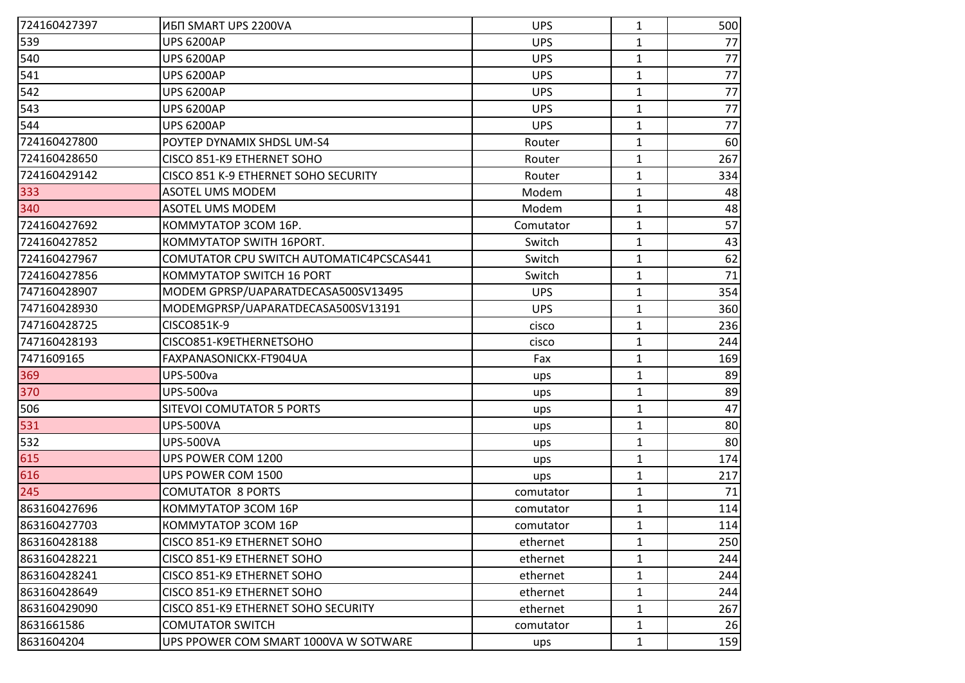| 724160427397 | ИБП SMART UPS 2200VA                     | <b>UPS</b> | 1            | 500 |
|--------------|------------------------------------------|------------|--------------|-----|
| 539          | <b>UPS 6200AP</b>                        | <b>UPS</b> | 1            | 77  |
| 540          | <b>UPS 6200AP</b>                        | <b>UPS</b> | $\mathbf{1}$ | 77  |
| 541          | <b>UPS 6200AP</b>                        | <b>UPS</b> | $\mathbf{1}$ | 77  |
| 542          | <b>UPS 6200AP</b>                        | <b>UPS</b> | $\mathbf{1}$ | 77  |
| 543          | <b>UPS 6200AP</b>                        | <b>UPS</b> | $\mathbf{1}$ | 77  |
| 544          | <b>UPS 6200AP</b>                        | <b>UPS</b> | $\mathbf{1}$ | 77  |
| 724160427800 | POYTEP DYNAMIX SHDSL UM-S4               | Router     | $\mathbf{1}$ | 60  |
| 724160428650 | CISCO 851-K9 ETHERNET SOHO               | Router     | $\mathbf{1}$ | 267 |
| 724160429142 | CISCO 851 K-9 ETHERNET SOHO SECURITY     | Router     | $\mathbf{1}$ | 334 |
| 333          | <b>ASOTEL UMS MODEM</b>                  | Modem      | 1            | 48  |
| 340          | <b>ASOTEL UMS MODEM</b>                  | Modem      | $\mathbf{1}$ | 48  |
| 724160427692 | KOMMYTATOP 3COM 16P.                     | Comutator  | $\mathbf{1}$ | 57  |
| 724160427852 | <b>KOMMYTATOP SWITH 16PORT.</b>          | Switch     | $\mathbf{1}$ | 43  |
| 724160427967 | COMUTATOR CPU SWITCH AUTOMATIC4PCSCAS441 | Switch     | $\mathbf{1}$ | 62  |
| 724160427856 | <b>KOMMYTATOP SWITCH 16 PORT</b>         | Switch     | $\mathbf{1}$ | 71  |
| 747160428907 | MODEM GPRSP/UAPARATDECASA500SV13495      | <b>UPS</b> | $\mathbf{1}$ | 354 |
| 747160428930 | MODEMGPRSP/UAPARATDECASA500SV13191       | <b>UPS</b> | $\mathbf{1}$ | 360 |
| 747160428725 | CISCO851K-9                              | cisco      | $\mathbf{1}$ | 236 |
| 747160428193 | CISCO851-K9ETHERNETSOHO                  | cisco      | $\mathbf{1}$ | 244 |
| 7471609165   | FAXPANASONICKX-FT904UA                   | Fax        | $\mathbf{1}$ | 169 |
| 369          | UPS-500va                                | ups        | $\mathbf{1}$ | 89  |
| 370          | <b>UPS-500va</b>                         | ups        | $\mathbf{1}$ | 89  |
| 506          | SITEVOI COMUTATOR 5 PORTS                | ups        | $\mathbf{1}$ | 47  |
| 531          | <b>UPS-500VA</b>                         | ups        | $\mathbf{1}$ | 80  |
| 532          | <b>UPS-500VA</b>                         | ups        | $\mathbf{1}$ | 80  |
| 615          | UPS POWER COM 1200                       | ups        | $\mathbf{1}$ | 174 |
| 616          | UPS POWER COM 1500                       | ups        | $\mathbf{1}$ | 217 |
| 245          | <b>COMUTATOR 8 PORTS</b>                 | comutator  | $\mathbf{1}$ | 71  |
| 863160427696 | KOMMYTATOP 3COM 16P                      | comutator  | 1            | 114 |
| 863160427703 | KOMMYTATOP 3COM 16P                      | comutator  | $\mathbf{1}$ | 114 |
| 863160428188 | CISCO 851-K9 ETHERNET SOHO               | ethernet   | $\mathbf{1}$ | 250 |
| 863160428221 | CISCO 851-K9 ETHERNET SOHO               | ethernet   | $\mathbf{1}$ | 244 |
| 863160428241 | CISCO 851-K9 ETHERNET SOHO               | ethernet   | $\mathbf{1}$ | 244 |
| 863160428649 | CISCO 851-K9 ETHERNET SOHO               | ethernet   | $\mathbf{1}$ | 244 |
| 863160429090 | CISCO 851-K9 ETHERNET SOHO SECURITY      | ethernet   | $\mathbf{1}$ | 267 |
| 8631661586   | <b>COMUTATOR SWITCH</b>                  | comutator  | $\mathbf{1}$ | 26  |
| 8631604204   | UPS PPOWER COM SMART 1000VA W SOTWARE    | ups        | $\mathbf{1}$ | 159 |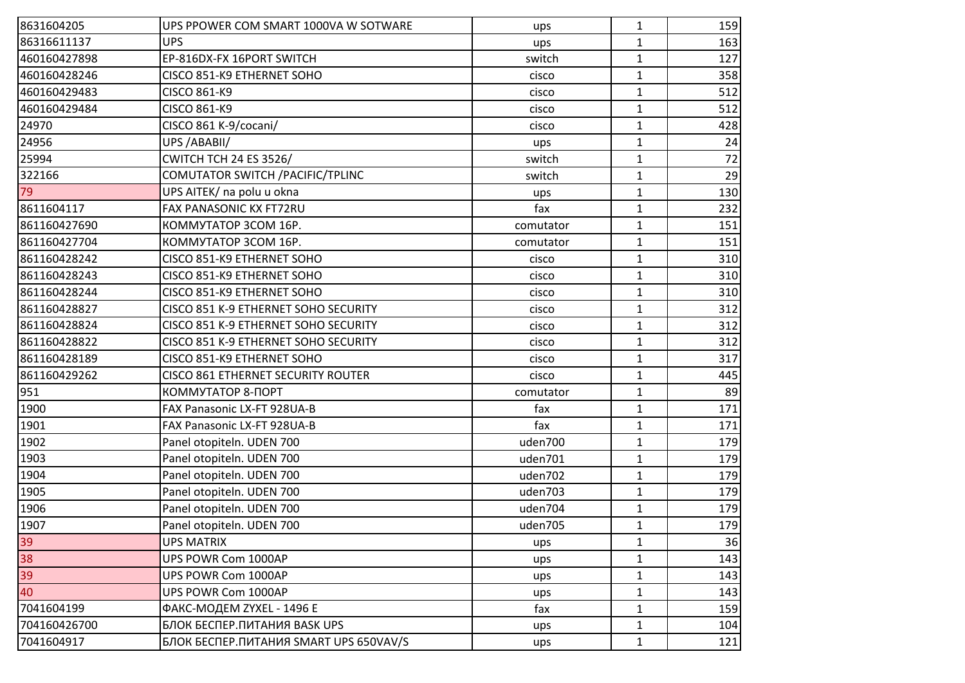| 8631604205                                                 | UPS PPOWER COM SMART 1000VA W SOTWARE          | ups       | 1            | 159 |
|------------------------------------------------------------|------------------------------------------------|-----------|--------------|-----|
| 86316611137                                                | <b>UPS</b>                                     | ups       | $\mathbf{1}$ | 163 |
| 460160427898                                               | EP-816DX-FX 16PORT SWITCH                      | switch    | $\mathbf{1}$ | 127 |
| 460160428246                                               | CISCO 851-K9 ETHERNET SOHO                     | cisco     | $\mathbf{1}$ | 358 |
| 460160429483                                               | <b>CISCO 861-K9</b>                            | cisco     | $\mathbf{1}$ | 512 |
| 460160429484                                               | CISCO 861-K9                                   | cisco     | $\mathbf{1}$ | 512 |
| 24970                                                      | CISCO 861 K-9/cocani/                          | cisco     | $\mathbf{1}$ | 428 |
| 24956                                                      | UPS /ABABII/                                   | ups       | $\mathbf{1}$ | 24  |
| 25994                                                      | <b>CWITCH TCH 24 ES 3526/</b>                  | switch    | $\mathbf{1}$ | 72  |
| 322166                                                     | COMUTATOR SWITCH / PACIFIC/TPLINC              | switch    | $\mathbf{1}$ | 29  |
| 79                                                         | UPS AITEK/ na polu u okna                      | ups       | $\mathbf{1}$ | 130 |
| 8611604117                                                 | FAX PANASONIC KX FT72RU                        | fax       | $\mathbf{1}$ | 232 |
| 861160427690                                               | KOMMYTATOP 3COM 16P.                           | comutator | $\mathbf{1}$ | 151 |
| 861160427704                                               | KOMMYTATOP 3COM 16P.                           | comutator | $\mathbf{1}$ | 151 |
| 861160428242                                               | CISCO 851-K9 ETHERNET SOHO                     | cisco     | $\mathbf{1}$ | 310 |
| 861160428243                                               | CISCO 851-K9 ETHERNET SOHO                     | cisco     | $\mathbf{1}$ | 310 |
| 861160428244                                               | CISCO 851-K9 ETHERNET SOHO                     | cisco     | $\mathbf{1}$ | 310 |
| 861160428827                                               | CISCO 851 K-9 ETHERNET SOHO SECURITY           | cisco     | $\mathbf{1}$ | 312 |
| 861160428824                                               | CISCO 851 K-9 ETHERNET SOHO SECURITY           | cisco     | $\mathbf{1}$ | 312 |
| 861160428822                                               | CISCO 851 K-9 ETHERNET SOHO SECURITY           | cisco     | $\mathbf{1}$ | 312 |
| 861160428189                                               | CISCO 851-K9 ETHERNET SOHO                     | cisco     | $\mathbf{1}$ | 317 |
| 861160429262                                               | CISCO 861 ETHERNET SECURITY ROUTER             | cisco     | $\mathbf{1}$ | 445 |
| 951                                                        | КОММУТАТОР 8-ПОРТ                              | comutator | $\mathbf{1}$ | 89  |
| 1900                                                       | FAX Panasonic LX-FT 928UA-B                    | fax       | $\mathbf{1}$ | 171 |
| 1901                                                       | FAX Panasonic LX-FT 928UA-B                    | fax       | $\mathbf{1}$ | 171 |
| 1902                                                       | Panel otopiteln. UDEN 700                      | uden700   | $\mathbf{1}$ | 179 |
| 1903                                                       | Panel otopiteln. UDEN 700                      | uden701   | $\mathbf{1}$ | 179 |
| 1904                                                       | Panel otopiteln. UDEN 700                      | uden702   | $\mathbf{1}$ | 179 |
| 1905                                                       | Panel otopiteln. UDEN 700                      | uden703   | $\mathbf{1}$ | 179 |
| 1906                                                       | Panel otopiteln. UDEN 700                      | uden704   | $\mathbf{1}$ | 179 |
| 1907                                                       | Panel otopiteln. UDEN 700                      | uden705   | $\mathbf{1}$ | 179 |
|                                                            | <b>UPS MATRIX</b>                              | ups       | 1            | 36  |
| $\begin{array}{r} 39 \\ 38 \\ 39 \\ \hline 40 \end{array}$ | UPS POWR Com 1000AP                            | ups       | $\mathbf{1}$ | 143 |
|                                                            | UPS POWR Com 1000AP                            | ups       | $\mathbf{1}$ | 143 |
|                                                            | UPS POWR Com 1000AP                            | ups       | $\mathbf{1}$ | 143 |
| 7041604199                                                 | ФАКС-МОДЕМ ZYXEL - 1496 E                      | fax       | $\mathbf{1}$ | 159 |
| 704160426700                                               | БЛОК БЕСПЕР. ПИТАНИЯ BASK UPS                  | ups       | $\mathbf{1}$ | 104 |
| 7041604917                                                 | <b>БЛОК БЕСПЕР. ПИТАНИЯ SMART UPS 650VAV/S</b> | ups       | $\mathbf{1}$ | 121 |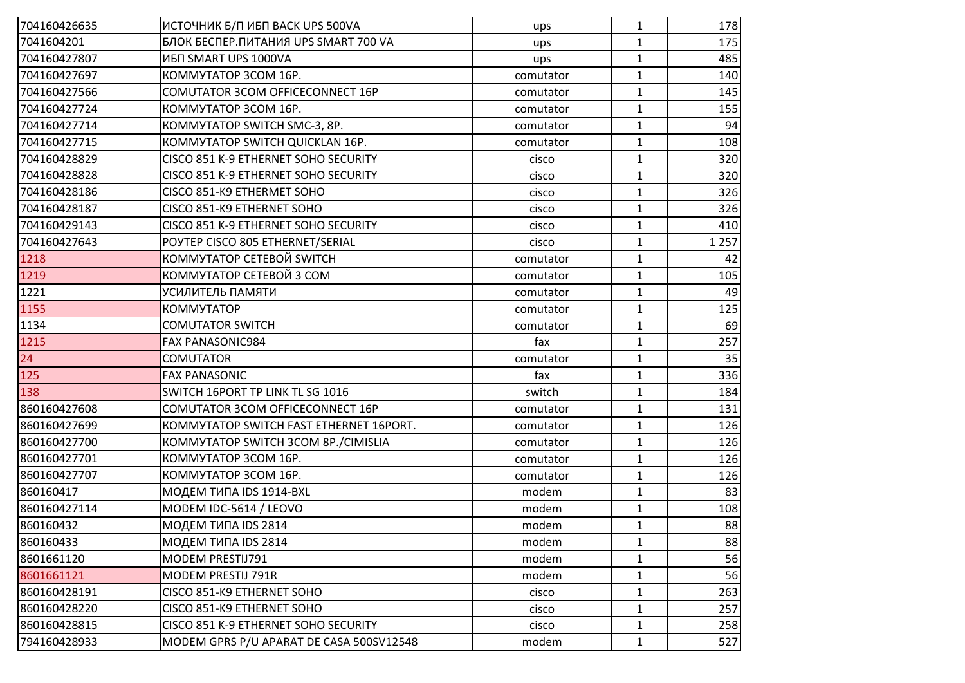| 704160426635 | ИСТОЧНИК Б/П ИБП ВАСК UPS 500VA              | ups       | 1            | 178     |
|--------------|----------------------------------------------|-----------|--------------|---------|
| 7041604201   | <b>БЛОК БЕСПЕР. ПИТАНИЯ UPS SMART 700 VA</b> | ups       | $\mathbf{1}$ | 175     |
| 704160427807 | ИБП SMART UPS 1000VA                         | ups       | $\mathbf{1}$ | 485     |
| 704160427697 | KOMMYTATOP 3COM 16P.                         | comutator | $\mathbf{1}$ | 140     |
| 704160427566 | COMUTATOR 3COM OFFICECONNECT 16P             | comutator | $\mathbf{1}$ | 145     |
| 704160427724 | KOMMYTATOP 3COM 16P.                         | comutator | $\mathbf{1}$ | 155     |
| 704160427714 | KOMMYTATOP SWITCH SMC-3, 8P.                 | comutator | $\mathbf{1}$ | 94      |
| 704160427715 | KOMMYTATOP SWITCH QUICKLAN 16P.              | comutator | $\mathbf{1}$ | 108     |
| 704160428829 | CISCO 851 K-9 ETHERNET SOHO SECURITY         | cisco     | $\mathbf{1}$ | 320     |
| 704160428828 | CISCO 851 K-9 ETHERNET SOHO SECURITY         | cisco     | $\mathbf{1}$ | 320     |
| 704160428186 | CISCO 851-K9 ETHERMET SOHO                   | cisco     | $\mathbf{1}$ | 326     |
| 704160428187 | CISCO 851-K9 ETHERNET SOHO                   | cisco     | $\mathbf{1}$ | 326     |
| 704160429143 | CISCO 851 K-9 ETHERNET SOHO SECURITY         | cisco     | $\mathbf{1}$ | 410     |
| 704160427643 | POYTEP CISCO 805 ETHERNET/SERIAL             | cisco     | $\mathbf{1}$ | 1 2 5 7 |
| 1218         | КОММУТАТОР СЕТЕВОЙ SWITCH                    | comutator | $\mathbf{1}$ | 42      |
| 1219         | КОММУТАТОР СЕТЕВОЙ 3 СОМ                     | comutator | $\mathbf{1}$ | 105     |
| 1221         | УСИЛИТЕЛЬ ПАМЯТИ                             | comutator | $\mathbf{1}$ | 49      |
| 1155         | <b>KOMMYTATOP</b>                            | comutator | $\mathbf{1}$ | 125     |
| 1134         | <b>COMUTATOR SWITCH</b>                      | comutator | $\mathbf{1}$ | 69      |
| 1215         | FAX PANASONIC984                             | fax       | $\mathbf{1}$ | 257     |
| 24           | <b>COMUTATOR</b>                             | comutator | $\mathbf{1}$ | 35      |
| 125          | <b>FAX PANASONIC</b>                         | fax       | $\mathbf{1}$ | 336     |
| 138          | SWITCH 16PORT TP LINK TL SG 1016             | switch    | $\mathbf{1}$ | 184     |
| 860160427608 | COMUTATOR 3COM OFFICECONNECT 16P             | comutator | $\mathbf{1}$ | 131     |
| 860160427699 | KOMMYTATOP SWITCH FAST ETHERNET 16PORT.      | comutator | $\mathbf{1}$ | 126     |
| 860160427700 | KOMMYTATOP SWITCH 3COM 8P./CIMISLIA          | comutator | $\mathbf{1}$ | 126     |
| 860160427701 | KOMMYTATOP 3COM 16P.                         | comutator | $\mathbf{1}$ | 126     |
| 860160427707 | KOMMYTATOP 3COM 16P.                         | comutator | $\mathbf{1}$ | 126     |
| 860160417    | <b>МОДЕМ ТИПА IDS 1914-BXL</b>               | modem     | $\mathbf{1}$ | 83      |
| 860160427114 | MODEM IDC-5614 / LEOVO                       | modem     | $\mathbf{1}$ | 108     |
| 860160432    | <b>МОДЕМ ТИПА IDS 2814</b>                   | modem     | $\mathbf{1}$ | 88      |
| 860160433    | <b>МОДЕМ ТИПА IDS 2814</b>                   | modem     | 1            | 88      |
| 8601661120   | MODEM PRESTIJ791                             | modem     | $\mathbf{1}$ | 56      |
| 8601661121   | MODEM PRESTIJ 791R                           | modem     | $\mathbf{1}$ | 56      |
| 860160428191 | CISCO 851-K9 ETHERNET SOHO                   | cisco     | $\mathbf{1}$ | 263     |
| 860160428220 | CISCO 851-K9 ETHERNET SOHO                   | cisco     | $\mathbf{1}$ | 257     |
| 860160428815 | CISCO 851 K-9 ETHERNET SOHO SECURITY         | cisco     | $\mathbf{1}$ | 258     |
| 794160428933 | MODEM GPRS P/U APARAT DE CASA 500SV12548     | modem     | $\mathbf{1}$ | 527     |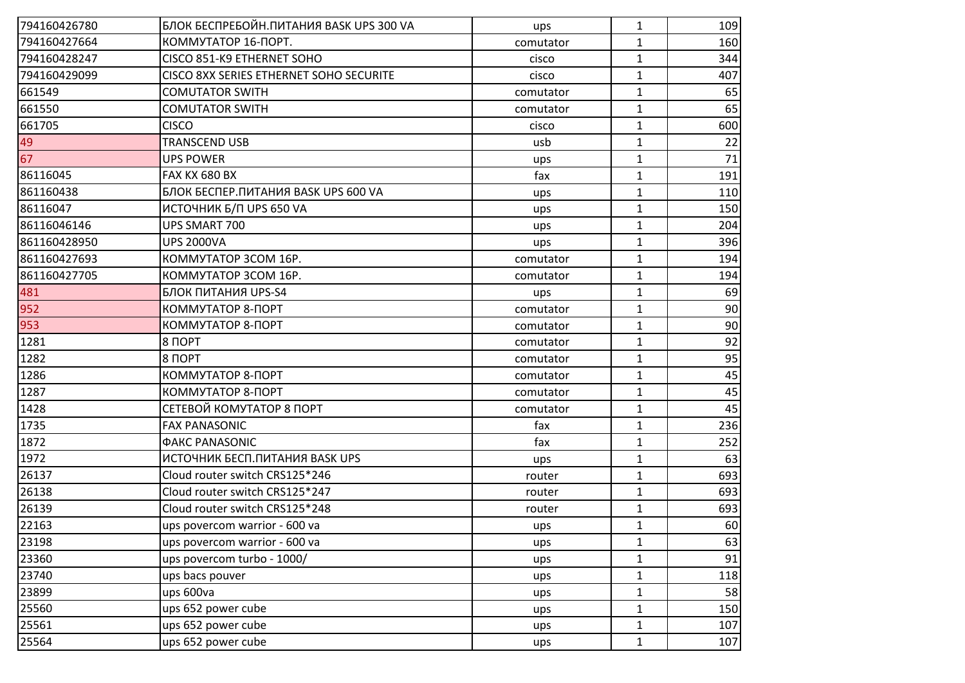| 794160426780 | БЛОК БЕСПРЕБОЙН.ПИТАНИЯ BASK UPS 300 VA | ups       | $\mathbf{1}$ | 109 |
|--------------|-----------------------------------------|-----------|--------------|-----|
| 794160427664 | КОММУТАТОР 16-ПОРТ.                     | comutator | $\mathbf{1}$ | 160 |
| 794160428247 | CISCO 851-K9 ETHERNET SOHO              | cisco     | $\mathbf{1}$ | 344 |
| 794160429099 | CISCO 8XX SERIES ETHERNET SOHO SECURITE | cisco     | $\mathbf{1}$ | 407 |
| 661549       | <b>COMUTATOR SWITH</b>                  | comutator | $\mathbf{1}$ | 65  |
| 661550       | <b>COMUTATOR SWITH</b>                  | comutator | 1            | 65  |
| 661705       | <b>CISCO</b>                            | cisco     | $\mathbf{1}$ | 600 |
| 49           | <b>TRANSCEND USB</b>                    | usb       | $\mathbf{1}$ | 22  |
| 67           | <b>UPS POWER</b>                        | ups       | $\mathbf{1}$ | 71  |
| 86116045     | FAX KX 680 BX                           | fax       | $\mathbf{1}$ | 191 |
| 861160438    | БЛОК БЕСПЕР. ПИТАНИЯ BASK UPS 600 VA    | ups       | $\mathbf{1}$ | 110 |
| 86116047     | ИСТОЧНИК Б/П UPS 650 VA                 | ups       | $\mathbf{1}$ | 150 |
| 86116046146  | UPS SMART 700                           | ups       | $\mathbf{1}$ | 204 |
| 861160428950 | <b>UPS 2000VA</b>                       | ups       | $\mathbf{1}$ | 396 |
| 861160427693 | KOMMYTATOP 3COM 16P.                    | comutator | $\mathbf{1}$ | 194 |
| 861160427705 | KOMMYTATOP 3COM 16P.                    | comutator | $\mathbf{1}$ | 194 |
| 481          | <b>БЛОК ПИТАНИЯ UPS-S4</b>              | ups       | $\mathbf{1}$ | 69  |
| 952          | КОММУТАТОР 8-ПОРТ                       | comutator | $\mathbf{1}$ | 90  |
| 953          | КОММУТАТОР 8-ПОРТ                       | comutator | $\mathbf{1}$ | 90  |
| 1281         | 8 ПОРТ                                  | comutator | $\mathbf{1}$ | 92  |
| 1282         | 8 ПОРТ                                  | comutator | $\mathbf{1}$ | 95  |
| 1286         | КОММУТАТОР 8-ПОРТ                       | comutator | $\mathbf{1}$ | 45  |
| 1287         | КОММУТАТОР 8-ПОРТ                       | comutator | $\mathbf{1}$ | 45  |
| 1428         | СЕТЕВОЙ КОМУТАТОР 8 ПОРТ                | comutator | $\mathbf{1}$ | 45  |
| 1735         | <b>FAX PANASONIC</b>                    | fax       | 1            | 236 |
| 1872         | <b><i><u>OAKC PANASONIC</u></i></b>     | fax       | $\mathbf{1}$ | 252 |
| 1972         | ИСТОЧНИК БЕСП. ПИТАНИЯ BASK UPS         | ups       | $\mathbf{1}$ | 63  |
| 26137        | Cloud router switch CRS125*246          | router    | $\mathbf{1}$ | 693 |
| 26138        | Cloud router switch CRS125*247          | router    | $\mathbf{1}$ | 693 |
| 26139        | Cloud router switch CRS125*248          | router    | $\mathbf{1}$ | 693 |
| 22163        | ups povercom warrior - 600 va           | ups       | $\mathbf{1}$ | 60  |
| 23198        | ups povercom warrior - 600 va           | ups       | 1            | 63  |
| 23360        | ups povercom turbo - 1000/              | ups       | $\mathbf{1}$ | 91  |
| 23740        | ups bacs pouver                         | ups       | $\mathbf{1}$ | 118 |
| 23899        | ups 600va                               | ups       | $\mathbf{1}$ | 58  |
| 25560        | ups 652 power cube                      | ups       | $\mathbf{1}$ | 150 |
| 25561        | ups 652 power cube                      | ups       | $\mathbf{1}$ | 107 |
| 25564        | ups 652 power cube                      | ups       | $\mathbf{1}$ | 107 |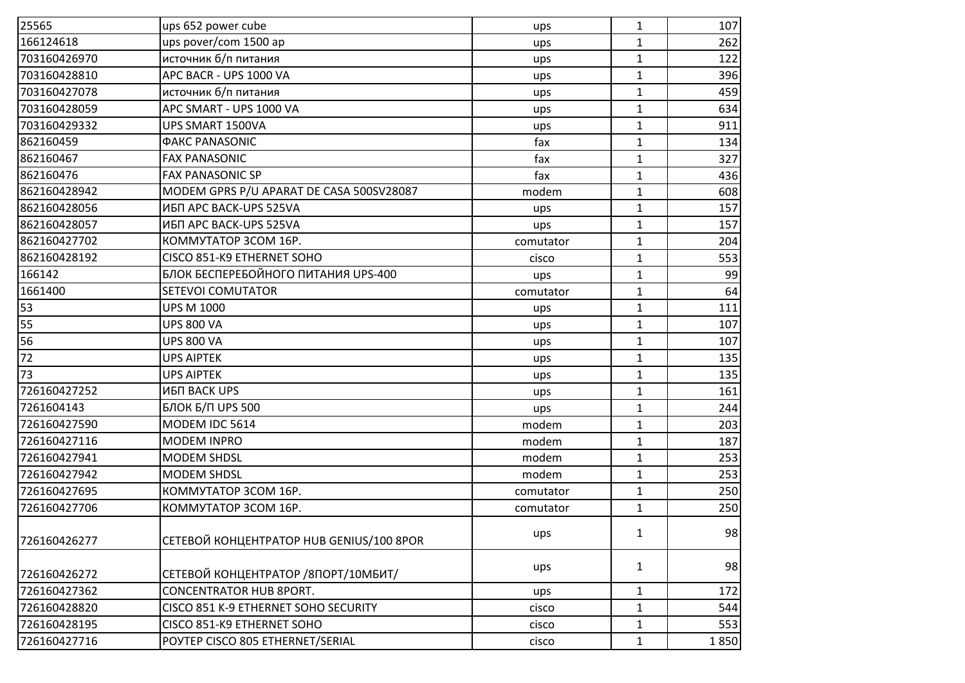| 166124618<br>ups pover/com 1500 ap<br>$\mathbf{1}$<br>ups                              | 262  |
|----------------------------------------------------------------------------------------|------|
|                                                                                        |      |
| источник б/п питания<br>703160426970<br>$\mathbf{1}$<br>ups                            | 122  |
| APC BACR - UPS 1000 VA<br>703160428810<br>$\mathbf{1}$<br>ups                          | 396  |
| источник б/п питания<br>703160427078<br>$\mathbf{1}$<br>ups                            | 459  |
| APC SMART - UPS 1000 VA<br>$\mathbf{1}$<br>703160428059<br>ups                         | 634  |
| 703160429332<br>UPS SMART 1500VA<br>$\mathbf{1}$<br>ups                                | 911  |
| fax<br>862160459<br><b><i>ФАКС PANASONIC</i></b><br>$\mathbf{1}$                       | 134  |
| fax<br>$\mathbf{1}$<br>862160467<br><b>FAX PANASONIC</b>                               | 327  |
| 862160476<br><b>FAX PANASONIC SP</b><br>fax<br>$\mathbf{1}$                            | 436  |
| 862160428942<br>MODEM GPRS P/U APARAT DE CASA 500SV28087<br>modem<br>$\mathbf{1}$      | 608  |
| 862160428056<br>ИБП APC BACK-UPS 525VA<br>$\mathbf{1}$<br>ups                          | 157  |
| 862160428057<br>ИБП APC BACK-UPS 525VA<br>$\mathbf{1}$<br>ups                          | 157  |
| 862160427702<br>KOMMYTATOP 3COM 16P.<br>$\mathbf{1}$<br>comutator                      | 204  |
| CISCO 851-K9 ETHERNET SOHO<br>862160428192<br>$\mathbf{1}$<br>cisco                    | 553  |
| БЛОК БЕСПЕРЕБОЙНОГО ПИТАНИЯ UPS-400<br>166142<br>$\mathbf{1}$<br>ups                   | 99   |
| 1661400<br><b>SETEVOI COMUTATOR</b><br>$\mathbf{1}$<br>comutator                       | 64   |
| 53<br>$\mathbf{1}$<br><b>UPS M 1000</b><br>ups                                         | 111  |
| 55<br><b>UPS 800 VA</b><br>$\mathbf{1}$<br>ups                                         | 107  |
| 56<br>$\mathbf{1}$<br><b>UPS 800 VA</b><br>ups                                         | 107  |
| $\overline{72}$<br>$\mathbf{1}$<br><b>UPS AIPTEK</b><br>ups                            | 135  |
| 73<br><b>UPS AIPTEK</b><br>$\mathbf{1}$<br>ups                                         | 135  |
| 726160427252<br><b>ИБП ВАСК UPS</b><br>$\mathbf{1}$<br>ups                             | 161  |
| 7261604143<br><b>БЛОК Б/П UPS 500</b><br>$\mathbf{1}$<br>ups                           | 244  |
| MODEM IDC 5614<br>726160427590<br>modem<br>$\mathbf{1}$                                | 203  |
| <b>MODEM INPRO</b><br>726160427116<br>modem<br>$\mathbf{1}$                            | 187  |
| 726160427941<br><b>MODEM SHDSL</b><br>$\mathbf{1}$<br>modem                            | 253  |
| 726160427942<br><b>MODEM SHDSL</b><br>modem<br>$\mathbf{1}$                            | 253  |
| 726160427695<br>KOMMYTATOP 3COM 16P.<br>$\mathbf{1}$<br>comutator                      | 250  |
| 726160427706<br>KOMMYTATOP 3COM 16P.<br>$\mathbf{1}$<br>comutator                      | 250  |
|                                                                                        | 98   |
| $\mathbf{1}$<br>ups<br><b>СЕТЕВОЙ КОНЦЕНТРАТОР HUB GENIUS/100 8POR</b><br>726160426277 |      |
| $\mathbf{1}$<br>ups<br>СЕТЕВОЙ КОНЦЕНТРАТОР / 8ПОРТ/10МБИТ/<br>726160426272            | 98   |
| 726160427362<br><b>CONCENTRATOR HUB 8PORT.</b><br>$\mathbf{1}$<br>ups                  | 172  |
| 726160428820<br>CISCO 851 K-9 ETHERNET SOHO SECURITY<br>$\mathbf{1}$<br>cisco          | 544  |
| 726160428195<br>CISCO 851-K9 ETHERNET SOHO<br>$\mathbf{1}$<br>cisco                    | 553  |
| 726160427716<br>POYTEP CISCO 805 ETHERNET/SERIAL<br>$\mathbf{1}$<br>cisco              | 1850 |